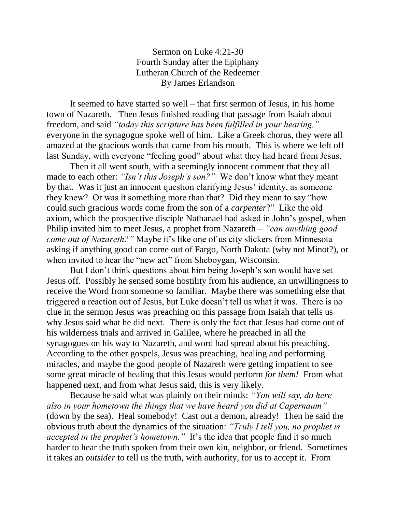## Sermon on Luke 4:21-30 Fourth Sunday after the Epiphany Lutheran Church of the Redeemer By James Erlandson

It seemed to have started so well – that first sermon of Jesus, in his home town of Nazareth. Then Jesus finished reading that passage from Isaiah about freedom, and said *"today this scripture has been fulfilled in your hearing,"*  everyone in the synagogue spoke well of him. Like a Greek chorus, they were all amazed at the gracious words that came from his mouth. This is where we left off last Sunday, with everyone "feeling good" about what they had heard from Jesus.

Then it all went south, with a seemingly innocent comment that they all made to each other: *"Isn't this Joseph's son?"* We don't know what they meant by that. Was it just an innocent question clarifying Jesus' identity, as someone they knew? Or was it something more than that? Did they mean to say "how could such gracious words come from the son of a *carpenter*?" Like the old axiom, which the prospective disciple Nathanael had asked in John's gospel, when Philip invited him to meet Jesus, a prophet from Nazareth – *"can anything good come out of Nazareth?"* Maybe it's like one of us city slickers from Minnesota asking if anything good can come out of Fargo, North Dakota (why not Minot?), or when invited to hear the "new act" from Sheboygan, Wisconsin.

But I don't think questions about him being Joseph's son would have set Jesus off. Possibly he sensed some hostility from his audience, an unwillingness to receive the Word from someone so familiar. Maybe there was something else that triggered a reaction out of Jesus, but Luke doesn't tell us what it was. There is no clue in the sermon Jesus was preaching on this passage from Isaiah that tells us why Jesus said what he did next. There is only the fact that Jesus had come out of his wilderness trials and arrived in Galilee, where he preached in all the synagogues on his way to Nazareth, and word had spread about his preaching. According to the other gospels, Jesus was preaching, healing and performing miracles, and maybe the good people of Nazareth were getting impatient to see some great miracle of healing that this Jesus would perform *for them!* From what happened next, and from what Jesus said, this is very likely.

Because he said what was plainly on their minds: *"You will say, do here also in your hometown the things that we have heard you did at Capernaum"* (down by the sea). Heal somebody! Cast out a demon, already! Then he said the obvious truth about the dynamics of the situation: *"Truly I tell you, no prophet is accepted in the prophet's hometown."* It's the idea that people find it so much harder to hear the truth spoken from their own kin, neighbor, or friend. Sometimes it takes an *outsider* to tell us the truth, with authority, for us to accept it. From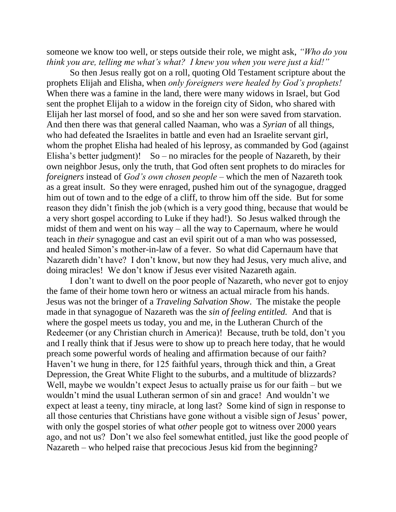someone we know too well, or steps outside their role, we might ask, *"Who do you think you are, telling me what's what? I knew you when you were just a kid!"*

So then Jesus really got on a roll, quoting Old Testament scripture about the prophets Elijah and Elisha, when *only foreigners were healed by God's prophets!* When there was a famine in the land, there were many widows in Israel, but God sent the prophet Elijah to a widow in the foreign city of Sidon, who shared with Elijah her last morsel of food, and so she and her son were saved from starvation. And then there was that general called Naaman, who was a *Syrian* of all things, who had defeated the Israelites in battle and even had an Israelite servant girl, whom the prophet Elisha had healed of his leprosy, as commanded by God (against Elisha's better judgment)! So – no miracles for the people of Nazareth, by their own neighbor Jesus, only the truth, that God often sent prophets to do miracles for *foreigners* instead of *God's own chosen people* – which the men of Nazareth took as a great insult. So they were enraged, pushed him out of the synagogue, dragged him out of town and to the edge of a cliff, to throw him off the side. But for some reason they didn't finish the job (which is a very good thing, because that would be a very short gospel according to Luke if they had!). So Jesus walked through the midst of them and went on his way – all the way to Capernaum, where he would teach in *their* synagogue and cast an evil spirit out of a man who was possessed, and healed Simon's mother-in-law of a fever. So what did Capernaum have that Nazareth didn't have? I don't know, but now they had Jesus, very much alive, and doing miracles! We don't know if Jesus ever visited Nazareth again.

I don't want to dwell on the poor people of Nazareth, who never got to enjoy the fame of their home town hero or witness an actual miracle from his hands. Jesus was not the bringer of a *Traveling Salvation Show*. The mistake the people made in that synagogue of Nazareth was the *sin of feeling entitled.* And that is where the gospel meets us today, you and me, in the Lutheran Church of the Redeemer (or any Christian church in America)! Because, truth be told, don't you and I really think that if Jesus were to show up to preach here today, that he would preach some powerful words of healing and affirmation because of our faith? Haven't we hung in there, for 125 faithful years, through thick and thin, a Great Depression, the Great White Flight to the suburbs, and a multitude of blizzards? Well, maybe we wouldn't expect Jesus to actually praise us for our faith – but we wouldn't mind the usual Lutheran sermon of sin and grace! And wouldn't we expect at least a teeny, tiny miracle, at long last? Some kind of sign in response to all those centuries that Christians have gone without a visible sign of Jesus' power, with only the gospel stories of what *other* people got to witness over 2000 years ago, and not us? Don't we also feel somewhat entitled, just like the good people of Nazareth – who helped raise that precocious Jesus kid from the beginning?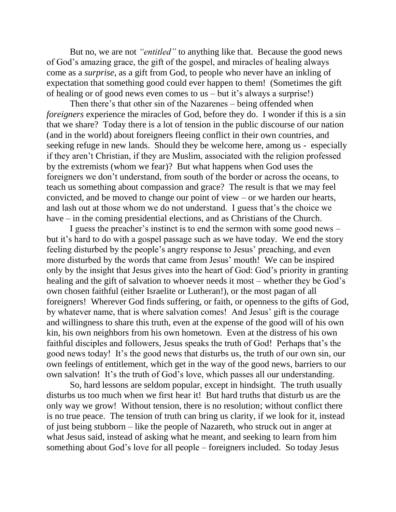But no, we are not *"entitled"* to anything like that. Because the good news of God's amazing grace, the gift of the gospel, and miracles of healing always come as a *surprise*, as a gift from God, to people who never have an inkling of expectation that something good could ever happen to them! (Sometimes the gift of healing or of good news even comes to us – but it's always a surprise!)

Then there's that other sin of the Nazarenes – being offended when *foreigners* experience the miracles of God, before they do. I wonder if this is a sin that we share? Today there is a lot of tension in the public discourse of our nation (and in the world) about foreigners fleeing conflict in their own countries, and seeking refuge in new lands. Should they be welcome here, among us - especially if they aren't Christian, if they are Muslim, associated with the religion professed by the extremists (whom we fear)? But what happens when God uses the foreigners we don't understand, from south of the border or across the oceans, to teach us something about compassion and grace? The result is that we may feel convicted, and be moved to change our point of view – or we harden our hearts, and lash out at those whom we do not understand. I guess that's the choice we have – in the coming presidential elections, and as Christians of the Church.

I guess the preacher's instinct is to end the sermon with some good news – but it's hard to do with a gospel passage such as we have today. We end the story feeling disturbed by the people's angry response to Jesus' preaching, and even more disturbed by the words that came from Jesus' mouth! We can be inspired only by the insight that Jesus gives into the heart of God: God's priority in granting healing and the gift of salvation to whoever needs it most – whether they be God's own chosen faithful (either Israelite or Lutheran!), or the most pagan of all foreigners! Wherever God finds suffering, or faith, or openness to the gifts of God, by whatever name, that is where salvation comes! And Jesus' gift is the courage and willingness to share this truth, even at the expense of the good will of his own kin, his own neighbors from his own hometown. Even at the distress of his own faithful disciples and followers, Jesus speaks the truth of God! Perhaps that's the good news today! It's the good news that disturbs us, the truth of our own sin, our own feelings of entitlement, which get in the way of the good news, barriers to our own salvation! It's the truth of God's love, which passes all our understanding.

So, hard lessons are seldom popular, except in hindsight. The truth usually disturbs us too much when we first hear it! But hard truths that disturb us are the only way we grow! Without tension, there is no resolution; without conflict there is no true peace. The tension of truth can bring us clarity, if we look for it, instead of just being stubborn – like the people of Nazareth, who struck out in anger at what Jesus said, instead of asking what he meant, and seeking to learn from him something about God's love for all people – foreigners included. So today Jesus